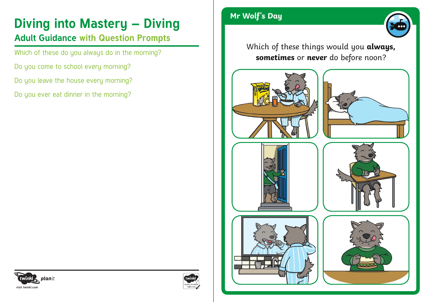# **Diving into Mastery – Diving Manual Manual Property Associate Property Property**

### **Adult Guidance with Question Prompts**

Which of these do you always do in the morning?

- Do you come to school every morning?
- Do you leave the house every morning?

Do you ever eat dinner in the morning?



Which of these things would you **always, sometimes** or **never** do before noon?















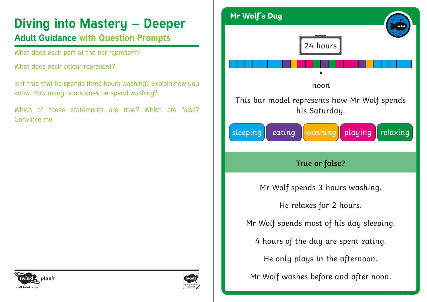